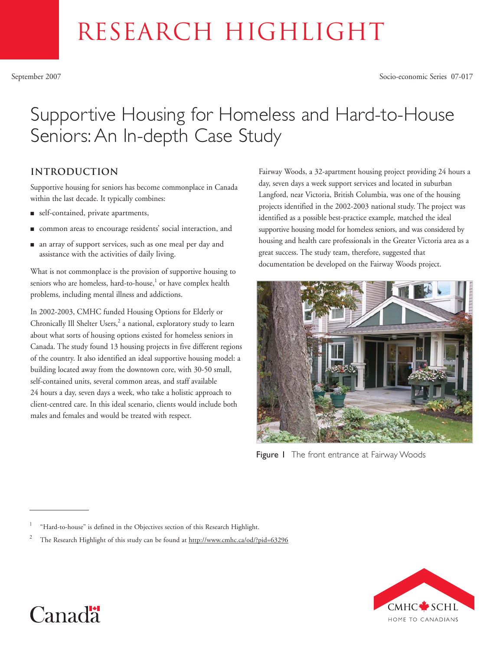# RESEARCH HIGHLIGHT

# Supportive Housing for Homeless and Hard-to-House Seniors: An In-depth Case Study

# **Introduction**

Supportive housing for seniors has become commonplace in Canada within the last decade. It typically combines:

- self-contained, private apartments,
- common areas to encourage residents' social interaction, and
- an array of support services, such as one meal per day and assistance with the activities of daily living.

What is not commonplace is the provision of supportive housing to seniors who are homeless, hard-to-house,<sup>1</sup> or have complex health problems, including mental illness and addictions.

In 2002-2003, CMHC funded Housing Options for Elderly or Chronically Ill Shelter Users,<sup>2</sup> a national, exploratory study to learn about what sorts of housing options existed for homeless seniors in Canada. The study found 13 housing projects in five different regions of the country. It also identified an ideal supportive housing model: a building located away from the downtown core, with 30-50 small, self-contained units, several common areas, and staff available 24 hours a day, seven days a week, who take a holistic approach to client-centred care. In this ideal scenario, clients would include both males and females and would be treated with respect.

Fairway Woods, a 32-apartment housing project providing 24 hours a day, seven days a week support services and located in suburban Langford, near Victoria, British Columbia, was one of the housing projects identified in the 2002-2003 national study. The project was identified as a possible best-practice example, matched the ideal supportive housing model for homeless seniors, and was considered by housing and health care professionals in the Greater Victoria area as a great success. The study team, therefore, suggested that documentation be developed on the Fairway Woods project.



Figure I The front entrance at Fairway Woods





<sup>&</sup>quot;Hard-to-house" is defined in the Objectives section of this Research Highlight.

<sup>2</sup> The Research Highlight of this study can be found at http://www.cmhc.ca/od/?pid=63296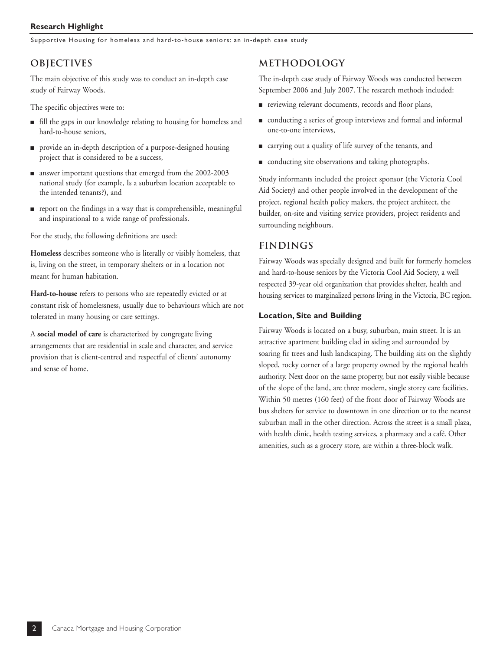#### **Research Highlight**

Supportive Housing for homeless and hard-to-house seniors: an in-depth case study

## **Objectives**

The main objective of this study was to conduct an in-depth case study of Fairway Woods.

The specific objectives were to:

- fill the gaps in our knowledge relating to housing for homeless and hard-to-house seniors,
- provide an in-depth description of a purpose-designed housing project that is considered to be a success,
- answer important questions that emerged from the 2002-2003 national study (for example, Is a suburban location acceptable to the intended tenants?), and
- report on the findings in a way that is comprehensible, meaningful and inspirational to a wide range of professionals.

For the study, the following definitions are used:

**Homeless** describes someone who is literally or visibly homeless, that is, living on the street, in temporary shelters or in a location not meant for human habitation.

**Hard-to-house** refers to persons who are repeatedly evicted or at constant risk of homelessness, usually due to behaviours which are not tolerated in many housing or care settings.

A **social model of care** is characterized by congregate living arrangements that are residential in scale and character, and service provision that is client-centred and respectful of clients' autonomy and sense of home.

### **Methodology**

The in-depth case study of Fairway Woods was conducted between September 2006 and July 2007. The research methods included:

- reviewing relevant documents, records and floor plans,
- conducting a series of group interviews and formal and informal one-to-one interviews,
- carrying out a quality of life survey of the tenants, and
- conducting site observations and taking photographs.

Study informants included the project sponsor (the Victoria Cool Aid Society) and other people involved in the development of the project, regional health policy makers, the project architect, the builder, on-site and visiting service providers, project residents and surrounding neighbours.

#### **Findings**

Fairway Woods was specially designed and built for formerly homeless and hard-to-house seniors by the Victoria Cool Aid Society, a well respected 39-year old organization that provides shelter, health and housing services to marginalized persons living in the Victoria, BC region.

#### **Location, Site and Building**

Fairway Woods is located on a busy, suburban, main street. It is an attractive apartment building clad in siding and surrounded by soaring fir trees and lush landscaping. The building sits on the slightly sloped, rocky corner of a large property owned by the regional health authority. Next door on the same property, but not easily visible because of the slope of the land, are three modern, single storey care facilities. Within 50 metres (160 feet) of the front door of Fairway Woods are bus shelters for service to downtown in one direction or to the nearest suburban mall in the other direction. Across the street is a small plaza, with health clinic, health testing services, a pharmacy and a café. Other amenities, such as a grocery store, are within a three-block walk.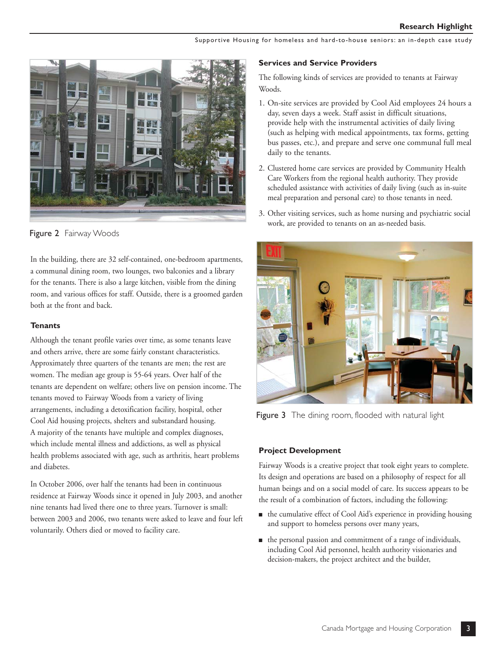Supportive Housing for homeless and hard-to-house seniors: an in-depth case study



Figure 2 Fairway Woods

In the building, there are 32 self-contained, one-bedroom apartments, a communal dining room, two lounges, two balconies and a library for the tenants. There is also a large kitchen, visible from the dining room, and various offices for staff. Outside, there is a groomed garden both at the front and back.

#### **Tenants**

Although the tenant profile varies over time, as some tenants leave and others arrive, there are some fairly constant characteristics. Approximately three quarters of the tenants are men; the rest are women. The median age group is 55-64 years. Over half of the tenants are dependent on welfare; others live on pension income. The tenants moved to Fairway Woods from a variety of living arrangements, including a detoxification facility, hospital, other Cool Aid housing projects, shelters and substandard housing. A majority of the tenants have multiple and complex diagnoses, which include mental illness and addictions, as well as physical health problems associated with age, such as arthritis, heart problems and diabetes.

In October 2006, over half the tenants had been in continuous residence at Fairway Woods since it opened in July 2003, and another nine tenants had lived there one to three years. Turnover is small: between 2003 and 2006, two tenants were asked to leave and four left voluntarily. Others died or moved to facility care.

#### **Services and Service Providers**

The following kinds of services are provided to tenants at Fairway Woods.

- 1. On-site services are provided by Cool Aid employees 24 hours a day, seven days a week. Staff assist in difficult situations, provide help with the instrumental activities of daily living (such as helping with medical appointments, tax forms, getting bus passes, etc.), and prepare and serve one communal full meal daily to the tenants.
- 2. Clustered home care services are provided by Community Health Care Workers from the regional health authority. They provide scheduled assistance with activities of daily living (such as in-suite meal preparation and personal care) to those tenants in need.
- 3. Other visiting services, such as home nursing and psychiatric social work, are provided to tenants on an as-needed basis.



Figure 3 The dining room, flooded with natural light

#### **Project Development**

Fairway Woods is a creative project that took eight years to complete. Its design and operations are based on a philosophy of respect for all human beings and on a social model of care. Its success appears to be the result of a combination of factors, including the following:

- the cumulative effect of Cool Aid's experience in providing housing and support to homeless persons over many years,
- the personal passion and commitment of a range of individuals, including Cool Aid personnel, health authority visionaries and decision-makers, the project architect and the builder,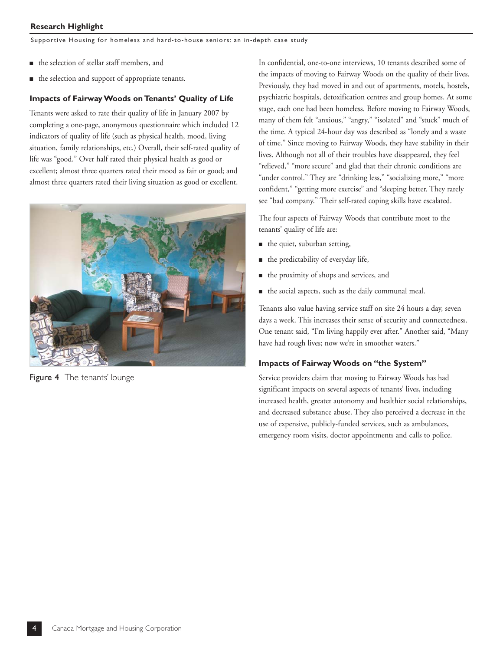Supportive Housing for homeless and hard-to-house seniors: an in-depth case study

- the selection of stellar staff members, and
- the selection and support of appropriate tenants.

#### **Impacts of Fairway Woods on Tenants' Quality of Life**

Tenants were asked to rate their quality of life in January 2007 by completing a one-page, anonymous questionnaire which included 12 indicators of quality of life (such as physical health, mood, living situation, family relationships, etc.) Overall, their self-rated quality of life was "good." Over half rated their physical health as good or excellent; almost three quarters rated their mood as fair or good; and almost three quarters rated their living situation as good or excellent.



**Figure 4** The tenants' lounge

In confidential, one-to-one interviews, 10 tenants described some of the impacts of moving to Fairway Woods on the quality of their lives. Previously, they had moved in and out of apartments, motels, hostels, psychiatric hospitals, detoxification centres and group homes. At some stage, each one had been homeless. Before moving to Fairway Woods, many of them felt "anxious," "angry," "isolated" and "stuck" much of the time. A typical 24-hour day was described as "lonely and a waste of time." Since moving to Fairway Woods, they have stability in their lives. Although not all of their troubles have disappeared, they feel "relieved," "more secure" and glad that their chronic conditions are "under control." They are "drinking less," "socializing more," "more confident," "getting more exercise" and "sleeping better. They rarely see "bad company." Their self-rated coping skills have escalated.

The four aspects of Fairway Woods that contribute most to the tenants' quality of life are:

- the quiet, suburban setting,
- the predictability of everyday life,
- the proximity of shops and services, and
- the social aspects, such as the daily communal meal.

Tenants also value having service staff on site 24 hours a day, seven days a week. This increases their sense of security and connectedness. One tenant said, "I'm living happily ever after." Another said, "Many have had rough lives; now we're in smoother waters."

#### **Impacts of Fairway Woods on "the System"**

Service providers claim that moving to Fairway Woods has had significant impacts on several aspects of tenants' lives, including increased health, greater autonomy and healthier social relationships, and decreased substance abuse. They also perceived a decrease in the use of expensive, publicly-funded services, such as ambulances, emergency room visits, doctor appointments and calls to police.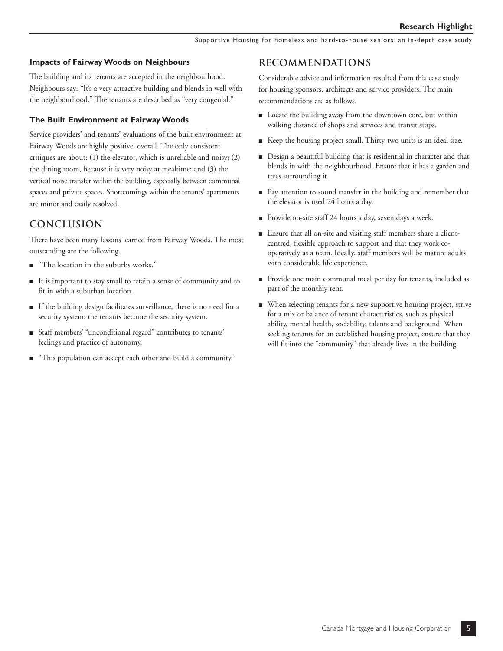#### **Impacts of Fairway Woods on Neighbours**

The building and its tenants are accepted in the neighbourhood. Neighbours say: "It's a very attractive building and blends in well with the neighbourhood." The tenants are described as "very congenial."

#### **The Built Environment at Fairway Woods**

Service providers' and tenants' evaluations of the built environment at Fairway Woods are highly positive, overall. The only consistent critiques are about: (1) the elevator, which is unreliable and noisy; (2) the dining room, because it is very noisy at mealtime; and (3) the vertical noise transfer within the building, especially between communal spaces and private spaces. Shortcomings within the tenants' apartments are minor and easily resolved.

#### **Conclusion**

There have been many lessons learned from Fairway Woods. The most outstanding are the following.

- "The location in the suburbs works."
- It is important to stay small to retain a sense of community and to fit in with a suburban location.
- If the building design facilitates surveillance, there is no need for a security system: the tenants become the security system.
- Staff members' "unconditional regard" contributes to tenants' feelings and practice of autonomy.
- "This population can accept each other and build a community."

#### **Recommendations**

Considerable advice and information resulted from this case study for housing sponsors, architects and service providers. The main recommendations are as follows.

- Locate the building away from the downtown core, but within walking distance of shops and services and transit stops.
- Keep the housing project small. Thirty-two units is an ideal size.
- Design a beautiful building that is residential in character and that blends in with the neighbourhood. Ensure that it has a garden and trees surrounding it.
- Pay attention to sound transfer in the building and remember that the elevator is used 24 hours a day.
- Provide on-site staff 24 hours a day, seven days a week.
- Ensure that all on-site and visiting staff members share a clientcentred, flexible approach to support and that they work cooperatively as a team. Ideally, staff members will be mature adults with considerable life experience.
- Provide one main communal meal per day for tenants, included as part of the monthly rent.
- When selecting tenants for a new supportive housing project, strive for a mix or balance of tenant characteristics, such as physical ability, mental health, sociability, talents and background. When seeking tenants for an established housing project, ensure that they will fit into the "community" that already lives in the building.